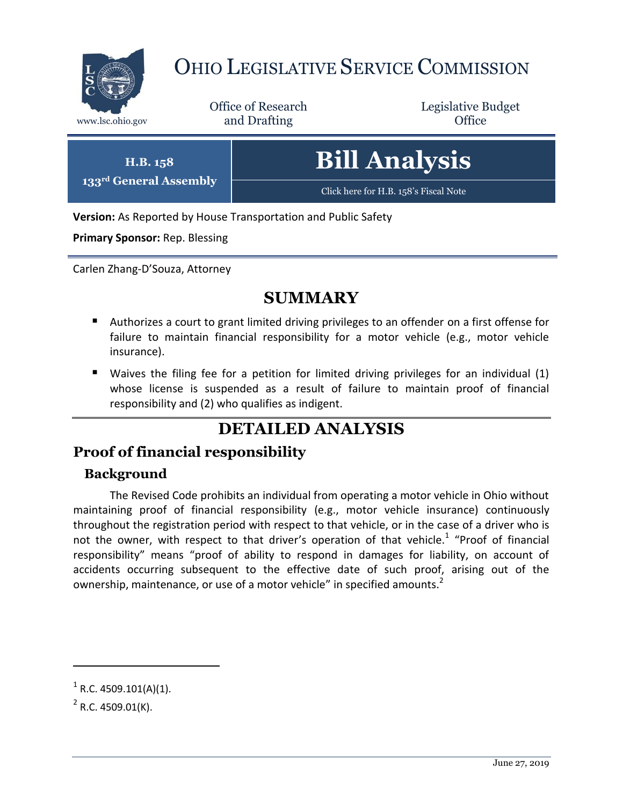

**133rd General Assembly**

# OHIO LEGISLATIVE SERVICE COMMISSION

Office of Research www.lsc.ohio.gov and Drafting Control of Control of the Control of Control of the Control of Control of the Control of the Control of the Control of the Control of the Control of the Control of the Control of the Control o

Legislative Budget

| H.B. 158<br>eneral Assembly | <b>Bill Analysis</b>                  |
|-----------------------------|---------------------------------------|
|                             | Click here for H.B. 158's Fiscal Note |

**Version:** As Reported by House Transportation and Public Safety

**Primary Sponsor:** Rep. Blessing

Carlen Zhang-D'Souza, Attorney

### **SUMMARY**

- Authorizes a court to grant limited driving privileges to an offender on a first offense for failure to maintain financial responsibility for a motor vehicle (e.g., motor vehicle insurance).
- Waives the filing fee for a petition for limited driving privileges for an individual (1) whose license is suspended as a result of failure to maintain proof of financial responsibility and (2) who qualifies as indigent.

## **DETAILED ANALYSIS**

### **Proof of financial responsibility**

#### **Background**

The Revised Code prohibits an individual from operating a motor vehicle in Ohio without maintaining proof of financial responsibility (e.g., motor vehicle insurance) continuously throughout the registration period with respect to that vehicle, or in the case of a driver who is not the owner, with respect to that driver's operation of that vehicle.<sup>1</sup> "Proof of financial responsibility" means "proof of ability to respond in damages for liability, on account of accidents occurring subsequent to the effective date of such proof, arising out of the ownership, maintenance, or use of a motor vehicle" in specified amounts.<sup>2</sup>

 $\overline{a}$ 

 $1^1$  R.C. 4509.101(A)(1).

 $2^2$  R.C. 4509.01(K).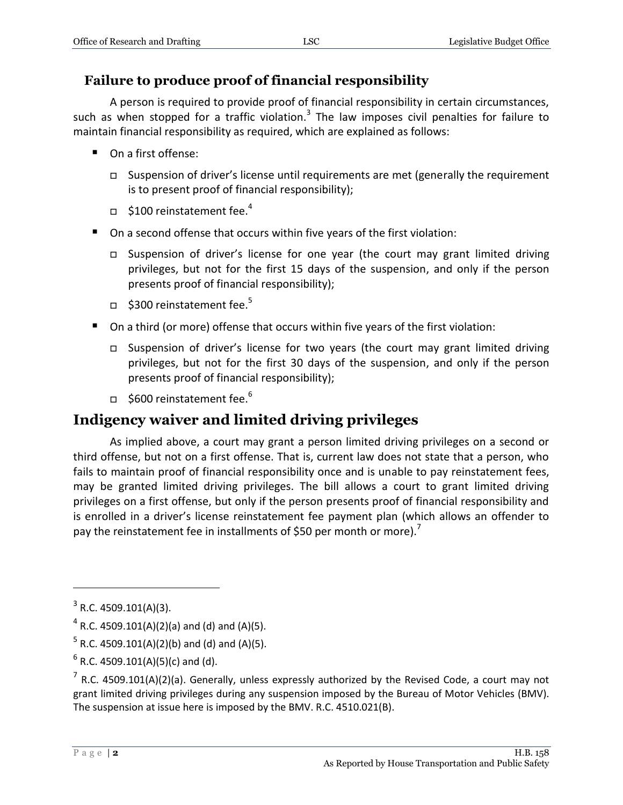### **Failure to produce proof of financial responsibility**

A person is required to provide proof of financial responsibility in certain circumstances, such as when stopped for a traffic violation.<sup>3</sup> The law imposes civil penalties for failure to maintain financial responsibility as required, which are explained as follows:

- On a first offense:
	- $\Box$  Suspension of driver's license until requirements are met (generally the requirement is to present proof of financial responsibility);
	- $\Box$  \$100 reinstatement fee.<sup>4</sup>
- On a second offense that occurs within five years of the first violation:
	- Suspension of driver's license for one year (the court may grant limited driving privileges, but not for the first 15 days of the suspension, and only if the person presents proof of financial responsibility);
	- $\Box$  \$300 reinstatement fee.<sup>5</sup>
- On a third (or more) offense that occurs within five years of the first violation:
	- Suspension of driver's license for two years (the court may grant limited driving privileges, but not for the first 30 days of the suspension, and only if the person presents proof of financial responsibility);
	- $\Box$  \$600 reinstatement fee.<sup>6</sup>

### **Indigency waiver and limited driving privileges**

As implied above, a court may grant a person limited driving privileges on a second or third offense, but not on a first offense. That is, current law does not state that a person, who fails to maintain proof of financial responsibility once and is unable to pay reinstatement fees, may be granted limited driving privileges. The bill allows a court to grant limited driving privileges on a first offense, but only if the person presents proof of financial responsibility and is enrolled in a driver's license reinstatement fee payment plan (which allows an offender to pay the reinstatement fee in installments of \$50 per month or more).<sup>7</sup>

 $\overline{a}$ 

 $3$  R.C. 4509.101(A)(3).

 $^4$  R.C. 4509.101(A)(2)(a) and (d) and (A)(5).

 $^5$  R.C. 4509.101(A)(2)(b) and (d) and (A)(5).

 $^6$  R.C. 4509.101(A)(5)(c) and (d).

 $^7$  R.C. 4509.101(A)(2)(a). Generally, unless expressly authorized by the Revised Code, a court may not grant limited driving privileges during any suspension imposed by the Bureau of Motor Vehicles (BMV). The suspension at issue here is imposed by the BMV. R.C. 4510.021(B).